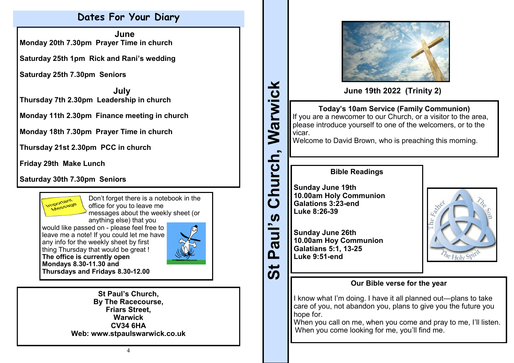## **Dates For Your Diary**

 **June Monday 20th 7.30pm Prayer Time in church**

**Saturday 25th 1pm Rick and Rani's wedding**

**Saturday 25th 7.30pm Seniors**

 **July Thursday 7th 2.30pm Leadership in church**

**Monday 11th 2.30pm Finance meeting in church**

**Monday 18th 7.30pm Prayer Time in church**

**Thursday 21st 2.30pm PCC in church**

**Friday 29th Make Lunch**

**Saturday 30th 7.30pm Seniors**



Don't forget there is a notebook in the office for you to leave me  $\delta$  messages about the weekly sheet (or

anything else) that you would like passed on - please feel free to leave me a note! If you could let me have any info for the weekly sheet by first thing Thursday that would be great ! **The office is currently open Mondays 8.30-11.30 and Thursdays and Fridays 8.30-12.00**



**St Paul's Church, By The Racecourse, Friars Street, Warwick CV34 6HA Web: www.stpaulswarwick.co.uk**





**June 19th 2022 (Trinity 2)**

## **Today's 10am Service (Family Communion)** If you are a newcomer to our Church, or a visitor to the area, please introduce yourself to one of the welcomers, or to the vicar.

Welcome to David Brown, who is preaching this morning.

### **Bible Readings**

**Sunday June 19th 10.00am Holy Communion Galations 3:23-end Luke 8:26-39**

**Sunday June 26th 10.00am Hoy Communion Galatians 5:1, 13-25 Luke 9:51-end**



## **Our Bible verse for the year**

I know what I'm doing. I have it all planned out—plans to take care of you, not abandon you, plans to give you the future you hope for.

When you call on me, when you come and pray to me, I'll listen. When you come looking for me, you'll find me.